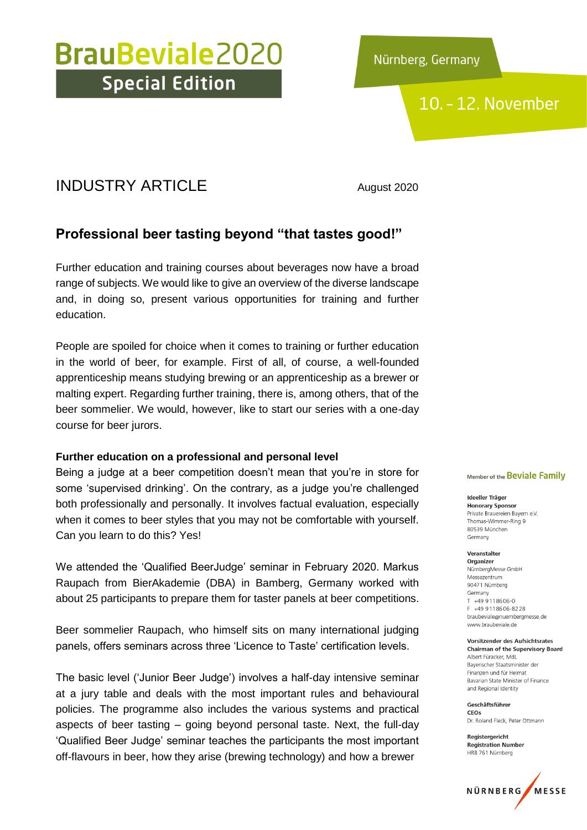Nürnberg, Germany

### 10. - 12. November

### INDUSTRY ARTICLE August 2020

### **Professional beer tasting beyond "that tastes good!"**

Further education and training courses about beverages now have a broad range of subjects. We would like to give an overview of the diverse landscape and, in doing so, present various opportunities for training and further education.

People are spoiled for choice when it comes to training or further education in the world of beer, for example. First of all, of course, a well-founded apprenticeship means studying brewing or an apprenticeship as a brewer or malting expert. Regarding further training, there is, among others, that of the beer sommelier. We would, however, like to start our series with a one-day course for beer jurors.

#### **Further education on a professional and personal level**

Being a judge at a beer competition doesn't mean that you're in store for some 'supervised drinking'. On the contrary, as a judge you're challenged both professionally and personally. It involves factual evaluation, especially when it comes to beer styles that you may not be comfortable with yourself. Can you learn to do this? Yes!

We attended the 'Qualified BeerJudge' seminar in February 2020. Markus Raupach from BierAkademie (DBA) in Bamberg, Germany worked with about 25 participants to prepare them for taster panels at beer competitions.

Beer sommelier Raupach, who himself sits on many international judging panels, offers seminars across three 'Licence to Taste' certification levels.

The basic level ('Junior Beer Judge') involves a half-day intensive seminar at a jury table and deals with the most important rules and behavioural policies. The programme also includes the various systems and practical aspects of beer tasting – going beyond personal taste. Next, the full-day 'Qualified Beer Judge' seminar teaches the participants the most important off-flavours in beer, how they arise (brewing technology) and how a brewer

#### Member of the Beviale Family

Ideeller Träger **Honorary Sponsor** Private Brauereien Bayern e.V. Thomas-Wimmer-Ring 9 80539 München Germany

Veranstalter Organizer NürnbergMesse GmbH Messezentrum 90471 Nürnberg Germany  $T$  +49 9118606-0 F +49 9 11 86 06-82 28 braubeviale@nuernbergmesse.de www.braubeviale.de

Vorsitzender des Aufsichtsrates **Chairman of the Supervisory Board** Albert Füracker, Mdl Bayerischer Staatsminister der Finanzen und für Heimat Bavarian State Minister of Finance and Regional Identity

Geschäftsführer CEOS Dr. Roland Fleck, Peter Ottmann

Registergericht **Registration Number** HRB 761 Nürnberg

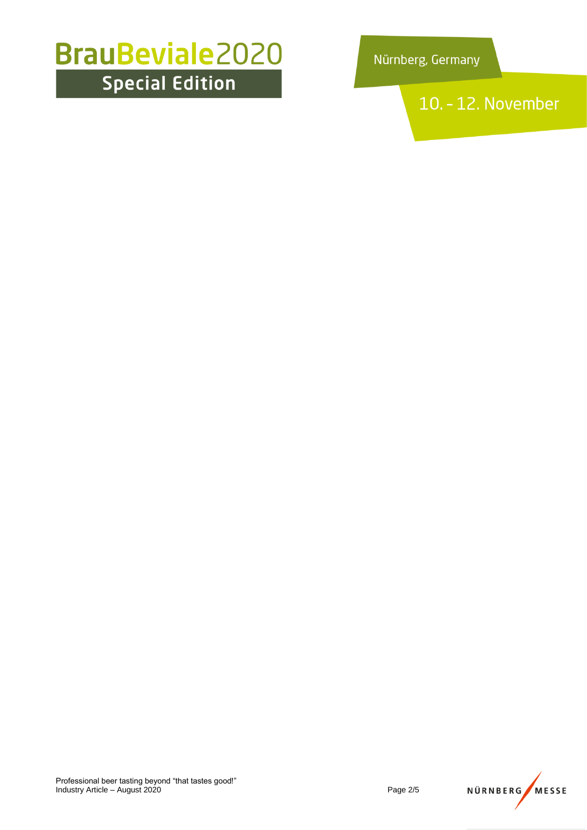Nürnberg, Germany

10. - 12. November

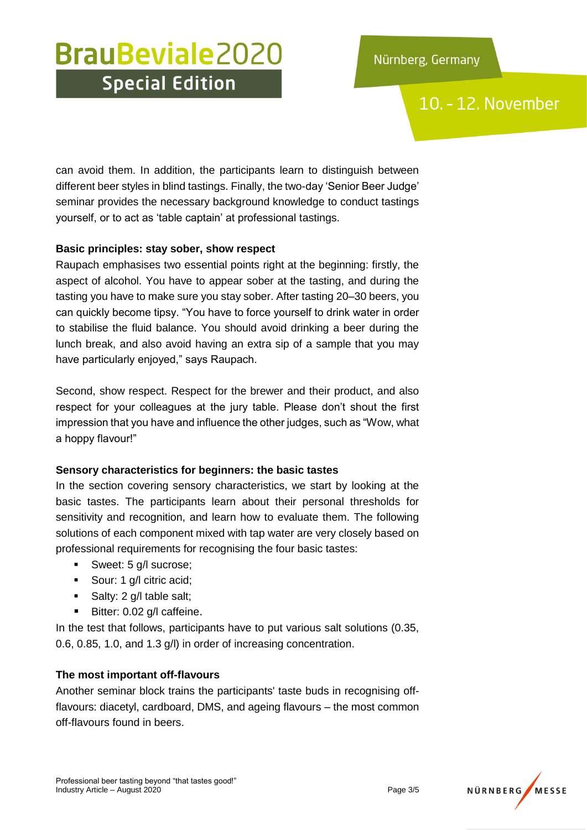10. - 12. November

can avoid them. In addition, the participants learn to distinguish between different beer styles in blind tastings. Finally, the two-day 'Senior Beer Judge' seminar provides the necessary background knowledge to conduct tastings yourself, or to act as 'table captain' at professional tastings.

#### **Basic principles: stay sober, show respect**

Raupach emphasises two essential points right at the beginning: firstly, the aspect of alcohol. You have to appear sober at the tasting, and during the tasting you have to make sure you stay sober. After tasting 20–30 beers, you can quickly become tipsy. "You have to force yourself to drink water in order to stabilise the fluid balance. You should avoid drinking a beer during the lunch break, and also avoid having an extra sip of a sample that you may have particularly enjoyed," says Raupach.

Second, show respect. Respect for the brewer and their product, and also respect for your colleagues at the jury table. Please don't shout the first impression that you have and influence the other judges, such as "Wow, what a hoppy flavour!"

#### **Sensory characteristics for beginners: the basic tastes**

In the section covering sensory characteristics, we start by looking at the basic tastes. The participants learn about their personal thresholds for sensitivity and recognition, and learn how to evaluate them. The following solutions of each component mixed with tap water are very closely based on professional requirements for recognising the four basic tastes:

- Sweet: 5 g/l sucrose;
- Sour: 1 g/l citric acid:
- Salty: 2 g/l table salt;
- Bitter: 0.02 g/l caffeine.

In the test that follows, participants have to put various salt solutions (0.35, 0.6, 0.85, 1.0, and 1.3 g/l) in order of increasing concentration.

#### **The most important off-flavours**

Another seminar block trains the participants' taste buds in recognising offflavours: diacetyl, cardboard, DMS, and ageing flavours – the most common off-flavours found in beers.

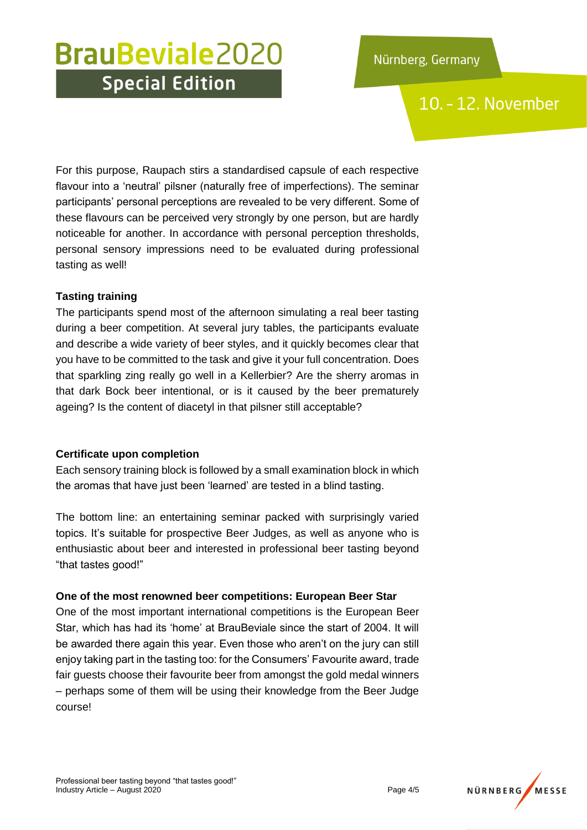10. - 12. November

For this purpose, Raupach stirs a standardised capsule of each respective flavour into a 'neutral' pilsner (naturally free of imperfections). The seminar participants' personal perceptions are revealed to be very different. Some of these flavours can be perceived very strongly by one person, but are hardly noticeable for another. In accordance with personal perception thresholds, personal sensory impressions need to be evaluated during professional tasting as well!

#### **Tasting training**

The participants spend most of the afternoon simulating a real beer tasting during a beer competition. At several jury tables, the participants evaluate and describe a wide variety of beer styles, and it quickly becomes clear that you have to be committed to the task and give it your full concentration. Does that sparkling zing really go well in a Kellerbier? Are the sherry aromas in that dark Bock beer intentional, or is it caused by the beer prematurely ageing? Is the content of diacetyl in that pilsner still acceptable?

#### **Certificate upon completion**

Each sensory training block is followed by a small examination block in which the aromas that have just been 'learned' are tested in a blind tasting.

The bottom line: an entertaining seminar packed with surprisingly varied topics. It's suitable for prospective Beer Judges, as well as anyone who is enthusiastic about beer and interested in professional beer tasting beyond "that tastes good!"

### **One of the most renowned beer competitions: European Beer Star**

One of the most important international competitions is the European Beer Star, which has had its 'home' at BrauBeviale since the start of 2004. It will be awarded there again this year. Even those who aren't on the jury can still enjoy taking part in the tasting too: for the Consumers' Favourite award, trade fair guests choose their favourite beer from amongst the gold medal winners – perhaps some of them will be using their knowledge from the Beer Judge course!